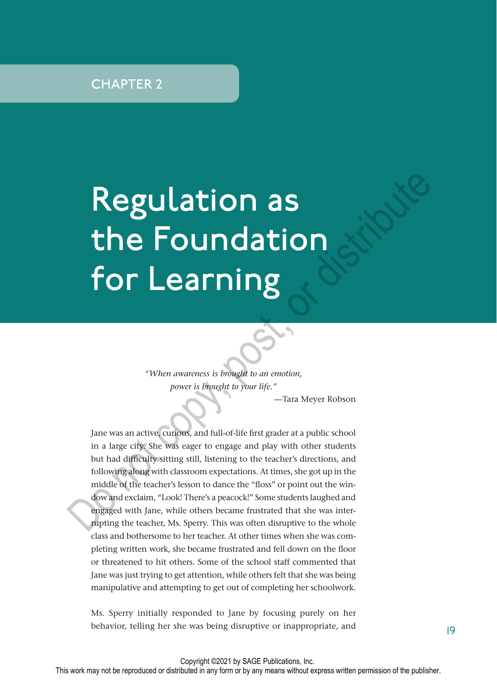# Regulation as the Foundation for Learning

*"When awareness is brought to an emotion, power is brought to your life."*

—Tara Meyer Robson

Jane was an active, curious, and full-of-life first grader at a public school in a large city. She was eager to engage and play with other students but had difficulty sitting still, listening to the teacher's directions, and following along with classroom expectations. At times, she got up in the middle of the teacher's lesson to dance the "floss" or point out the window and exclaim, "Look! There's a peacock!" Some students laughed and engaged with Jane, while others became frustrated that she was interrupting the teacher, Ms. Sperry. This was often disruptive to the whole class and bothersome to her teacher. At other times when she was completing written work, she became frustrated and fell down on the floor or threatened to hit others. Some of the school staff commented that Jane was just trying to get attention, while others felt that she was being manipulative and attempting to get out of completing her schoolwork. **Regulation as**<br> **the Foundation**<br> **for Learning**<br> *s When awareness is browgit to an emotion,<br>
<i>power is browgit to your life."*<br> *s in a large city, she was eager to engage and play with other students<br>
but had difficu* 

Ms. Sperry initially responded to Jane by focusing purely on her behavior, telling her she was being disruptive or inappropriate, and 19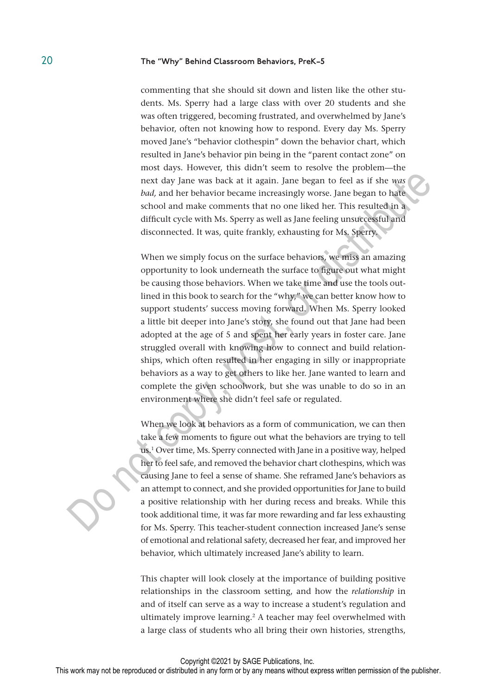commenting that she should sit down and listen like the other students. Ms. Sperry had a large class with over 20 students and she was often triggered, becoming frustrated, and overwhelmed by Jane's behavior, often not knowing how to respond. Every day Ms. Sperry moved Jane's "behavior clothespin" down the behavior chart, which resulted in Jane's behavior pin being in the "parent contact zone" on most days. However, this didn't seem to resolve the problem—the next day Jane was back at it again. Jane began to feel as if she *was bad,* and her behavior became increasingly worse. Jane began to hate school and make comments that no one liked her. This resulted in a difficult cycle with Ms. Sperry as well as Jane feeling unsuccessful and disconnected. It was, quite frankly, exhausting for Ms. Sperry.

When we simply focus on the surface behaviors, we miss an amazing opportunity to look underneath the surface to figure out what might be causing those behaviors. When we take time and use the tools outlined in this book to search for the "why," we can better know how to support students' success moving forward. When Ms. Sperry looked a little bit deeper into Jane's story, she found out that Jane had been adopted at the age of 5 and spent her early years in foster care. Jane struggled overall with knowing how to connect and build relationships, which often resulted in her engaging in silly or inappropriate behaviors as a way to get others to like her. Jane wanted to learn and complete the given schoolwork, but she was unable to do so in an environment where she didn't feel safe or regulated. next day Jane was back at it again. Jane began to feel as if she was bad, and her behavior became increasingly worse. Jane began to hat the school and make comments that no one liked her. This resulted in a stiffed difficu

When we look at behaviors as a form of communication, we can then take a few moments to figure out what the behaviors are trying to tell us.1 Over time, Ms. Sperry connected with Jane in a positive way, helped her to feel safe, and removed the behavior chart clothespins, which was causing Jane to feel a sense of shame. She reframed Jane's behaviors as an attempt to connect, and she provided opportunities for Jane to build a positive relationship with her during recess and breaks. While this took additional time, it was far more rewarding and far less exhausting for Ms. Sperry. This teacher-student connection increased Jane's sense of emotional and relational safety, decreased her fear, and improved her behavior, which ultimately increased Jane's ability to learn.

This chapter will look closely at the importance of building positive relationships in the classroom setting, and how the *relationship* in and of itself can serve as a way to increase a student's regulation and ultimately improve learning.<sup>2</sup> A teacher may feel overwhelmed with a large class of students who all bring their own histories, strengths,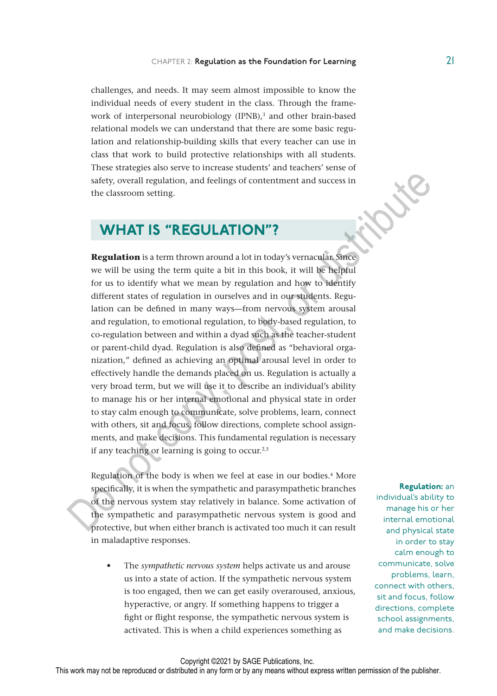challenges, and needs. It may seem almost impossible to know the individual needs of every student in the class. Through the framework of interpersonal neurobiology (IPNB),<sup>3</sup> and other brain-based relational models we can understand that there are some basic regulation and relationship-building skills that every teacher can use in class that work to build protective relationships with all students. These strategies also serve to increase students' and teachers' sense of safety, overall regulation, and feelings of contentment and success in the classroom setting.

## WHAT IS "REGULATION"?

**Regulation** is a term thrown around a lot in today's vernacular. Since we will be using the term quite a bit in this book, it will be helpful for us to identify what we mean by regulation and how to identify different states of regulation in ourselves and in our students. Regulation can be defined in many ways—from nervous system arousal and regulation, to emotional regulation, to body-based regulation, to co-regulation between and within a dyad such as the teacher-student or parent-child dyad. Regulation is also defined as "behavioral organization," defined as achieving an optimal arousal level in order to effectively handle the demands placed on us. Regulation is actually a very broad term, but we will use it to describe an individual's ability to manage his or her internal emotional and physical state in order to stay calm enough to communicate, solve problems, learn, connect with others, sit and focus, follow directions, complete school assignments, and make decisions. This fundamental regulation is necessary if any teaching or learning is going to occur.<sup>2,3</sup> safety, overall regulation, and feelings of contentment and success in<br>the classroom setting.<br>
The classroom setting,<br> **WHAT IS "REGULATION"?**<br> **Regulation** is a term thrown around a lot in today's vermacular. Since<br>
we w

Regulation of the body is when we feel at ease in our bodies.<sup>4</sup> More specifically, it is when the sympathetic and parasympathetic branches of the nervous system stay relatively in balance. Some activation of the sympathetic and parasympathetic nervous system is good and protective, but when either branch is activated too much it can result in maladaptive responses.

• The *sympathetic nervous system* helps activate us and arouse us into a state of action. If the sympathetic nervous system is too engaged, then we can get easily overaroused, anxious, hyperactive, or angry. If something happens to trigger a fight or flight response, the sympathetic nervous system is activated. This is when a child experiences something as

Regulation: an individual's ability to manage his or her internal emotional and physical state in order to stay calm enough to communicate, solve problems, learn, connect with others, sit and focus, follow directions, complete school assignments, and make decisions.

Copyright ©2021 by SAGE Publications, Inc.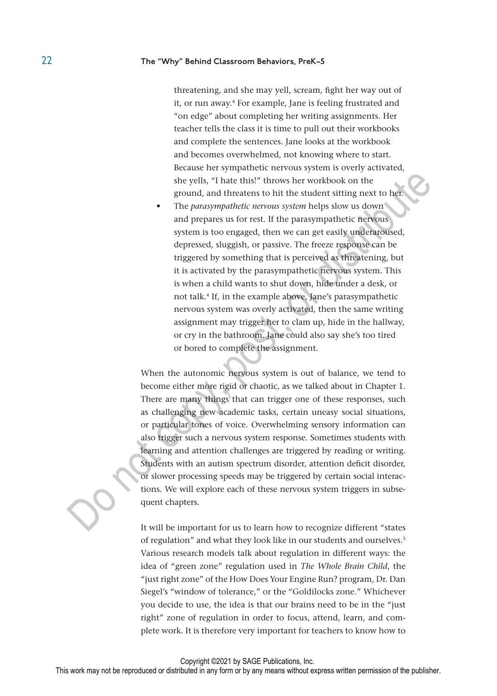threatening, and she may yell, scream, fight her way out of it, or run away.<sup>4</sup> For example, Jane is feeling frustrated and "on edge" about completing her writing assignments. Her teacher tells the class it is time to pull out their workbooks and complete the sentences. Jane looks at the workbook and becomes overwhelmed, not knowing where to start. Because her sympathetic nervous system is overly activated, she yells, "I hate this!" throws her workbook on the ground, and threatens to hit the student sitting next to her.

• The *parasympathetic nervous system* helps slow us down and prepares us for rest. If the parasympathetic nervous system is too engaged, then we can get easily underaroused, depressed, sluggish, or passive. The freeze response can be triggered by something that is perceived as threatening, but it is activated by the parasympathetic nervous system. This is when a child wants to shut down, hide under a desk, or not talk.4 If, in the example above, Jane's parasympathetic nervous system was overly activated, then the same writing assignment may trigger her to clam up, hide in the hallway, or cry in the bathroom. Jane could also say she's too tired or bored to complete the assignment. Solution of three this!" throws her workbook on the ground, and three stoch it the student sitting next to here. The *parasympathetic nervous system* helps slow us down and prepares us for rest. If the parasympathetic nerv

When the autonomic nervous system is out of balance, we tend to become either more rigid or chaotic, as we talked about in Chapter 1. There are many things that can trigger one of these responses, such as challenging new academic tasks, certain uneasy social situations, or particular tones of voice. Overwhelming sensory information can also trigger such a nervous system response. Sometimes students with learning and attention challenges are triggered by reading or writing. Students with an autism spectrum disorder, attention deficit disorder, or slower processing speeds may be triggered by certain social interactions. We will explore each of these nervous system triggers in subsequent chapters.

It will be important for us to learn how to recognize different "states of regulation" and what they look like in our students and ourselves.<sup>5</sup> Various research models talk about regulation in different ways: the idea of "green zone" regulation used in *The Whole Brain Child*, the "just right zone" of the How Does Your Engine Run? program, Dr. Dan Siegel's "window of tolerance," or the "Goldilocks zone." Whichever you decide to use, the idea is that our brains need to be in the "just right" zone of regulation in order to focus, attend, learn, and complete work. It is therefore very important for teachers to know how to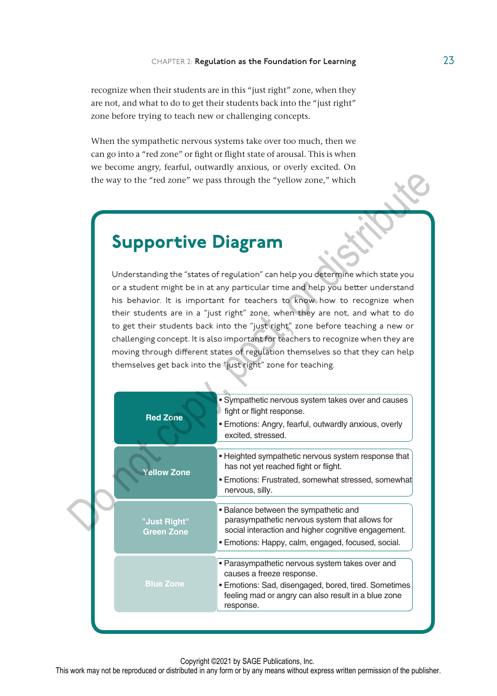recognize when their students are in this "just right" zone, when they are not, and what to do to get their students back into the "just right" zone before trying to teach new or challenging concepts.

When the sympathetic nervous systems take over too much, then we can go into a "red zone" or fight or flight state of arousal. This is when we become angry, fearful, outwardly anxious, or overly excited. On the way to the "red zone" we pass through the "yellow zone," which

## Supportive Diagram

|                                   | the way to the "red zone" we pass through the "yellow zone," which                                                                                                                                                                                                                                                                                                                                                                                                                                                                                                                                                                                     |
|-----------------------------------|--------------------------------------------------------------------------------------------------------------------------------------------------------------------------------------------------------------------------------------------------------------------------------------------------------------------------------------------------------------------------------------------------------------------------------------------------------------------------------------------------------------------------------------------------------------------------------------------------------------------------------------------------------|
| <b>Supportive Diagram</b>         |                                                                                                                                                                                                                                                                                                                                                                                                                                                                                                                                                                                                                                                        |
|                                   | Understanding the "states of regulation" can help you determine which state you<br>or a student might be in at any particular time and help you better understand<br>his behavior. It is important for teachers to know how to recognize when<br>their students are in a "just right" zone, when they are not, and what to do<br>to get their students back into the "just right" zone before teaching a new or<br>challenging concept. It is also important for teachers to recognize when they are<br>moving through different states of regulation themselves so that they can help<br>themselves get back into the "just right" zone for teaching. |
| <b>Red Zone</b>                   | · Sympathetic nervous system takes over and causes<br>fight or flight response.<br>• Emotions: Angry, fearful, outwardly anxious, overly<br>excited, stressed.                                                                                                                                                                                                                                                                                                                                                                                                                                                                                         |
| Yellow Zone                       | • Heighted sympathetic nervous system response that<br>has not yet reached fight or flight.<br>· Emotions: Frustrated, somewhat stressed, somewhat<br>nervous, silly.                                                                                                                                                                                                                                                                                                                                                                                                                                                                                  |
| "Just Right"<br><b>Green Zone</b> | • Balance between the sympathetic and<br>parasympathetic nervous system that allows for<br>social interaction and higher cognitive engagement.<br>· Emotions: Happy, calm, engaged, focused, social.                                                                                                                                                                                                                                                                                                                                                                                                                                                   |
| <b>Blue Zone</b>                  | • Parasympathetic nervous system takes over and<br>causes a freeze response.<br>· Emotions: Sad, disengaged, bored, tired. Sometimes<br>feeling mad or angry can also result in a blue zone<br>response.                                                                                                                                                                                                                                                                                                                                                                                                                                               |

Copyright ©2021 by SAGE Publications, Inc.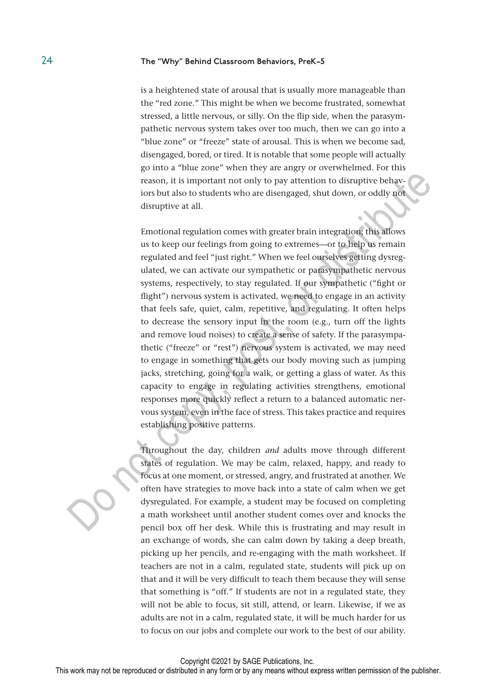is a heightened state of arousal that is usually more manageable than the "red zone." This might be when we become frustrated, somewhat stressed, a little nervous, or silly. On the flip side, when the parasympathetic nervous system takes over too much, then we can go into a "blue zone" or "freeze" state of arousal. This is when we become sad, disengaged, bored, or tired. It is notable that some people will actually go into a "blue zone" when they are angry or overwhelmed. For this reason, it is important not only to pay attention to disruptive behaviors but also to students who are disengaged, shut down, or oddly not disruptive at all.

Emotional regulation comes with greater brain integration; this allows us to keep our feelings from going to extremes—or to help us remain regulated and feel "just right." When we feel ourselves getting dysregulated, we can activate our sympathetic or parasympathetic nervous systems, respectively, to stay regulated. If our sympathetic ("fight or flight") nervous system is activated, we need to engage in an activity that feels safe, quiet, calm, repetitive, and regulating. It often helps to decrease the sensory input in the room (e.g., turn off the lights and remove loud noises) to create a sense of safety. If the parasympathetic ("freeze" or "rest") nervous system is activated, we may need to engage in something that gets our body moving such as jumping jacks, stretching, going for a walk, or getting a glass of water. As this capacity to engage in regulating activities strengthens, emotional responses more quickly reflect a return to a balanced automatic nervous system, even in the face of stress. This takes practice and requires establishing positive patterns. by the statistic in the data of the payarities of the pays attention of distributions by the payarities of the payarities of the payarities of the distribution of the distribution of the distribution of the distribution o

Throughout the day, children *and* adults move through different states of regulation. We may be calm, relaxed, happy, and ready to focus at one moment, or stressed, angry, and frustrated at another. We often have strategies to move back into a state of calm when we get dysregulated. For example, a student may be focused on completing a math worksheet until another student comes over and knocks the pencil box off her desk. While this is frustrating and may result in an exchange of words, she can calm down by taking a deep breath, picking up her pencils, and re-engaging with the math worksheet. If teachers are not in a calm, regulated state, students will pick up on that and it will be very difficult to teach them because they will sense that something is "off." If students are not in a regulated state, they will not be able to focus, sit still, attend, or learn. Likewise, if we as adults are not in a calm, regulated state, it will be much harder for us to focus on our jobs and complete our work to the best of our ability.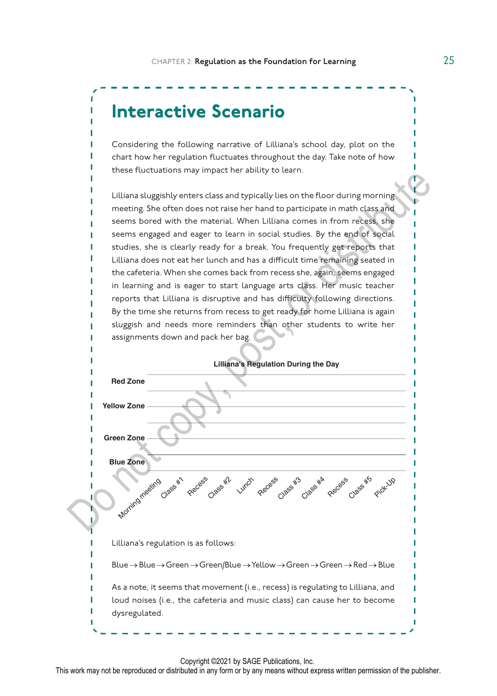

Considering the following narrative of Lilliana's school day, plot on the chart how her regulation fluctuates throughout the day. Take note of how these fluctuations may impact her ability to learn.

Lilliana sluggishly enters class and typically lies on the floor during morning meeting. She often does not raise her hand to participate in math class and seems bored with the material. When Lilliana comes in from recess, she seems engaged and eager to learn in social studies. By the end of social studies, she is clearly ready for a break. You frequently get reports that Lilliana does not eat her lunch and has a difficult time remaining seated in the cafeteria. When she comes back from recess she, again, seems engaged in learning and is eager to start language arts class. Her music teacher reports that Lilliana is disruptive and has difficulty following directions. By the time she returns from recess to get ready for home Lilliana is again sluggish and needs more reminders than other students to write her assignments down and pack her bag.



Copyright ©2021 by SAGE Publications, Inc.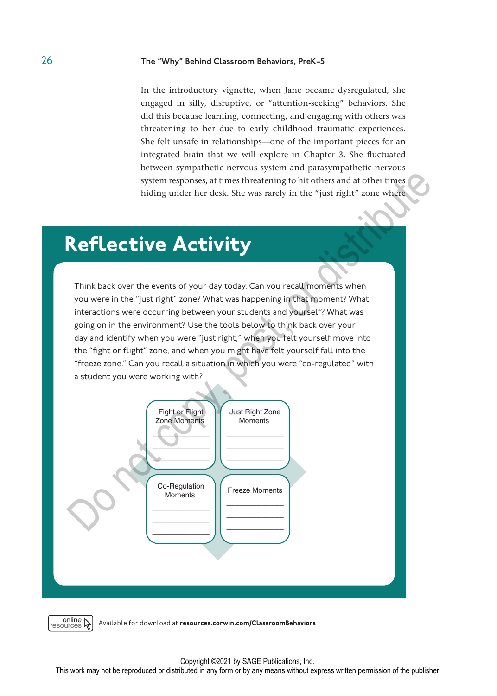In the introductory vignette, when Jane became dysregulated, she engaged in silly, disruptive, or "attention-seeking" behaviors. She did this because learning, connecting, and engaging with others was threatening to her due to early childhood traumatic experiences. She felt unsafe in relationships—one of the important pieces for an integrated brain that we will explore in Chapter 3. She fluctuated between sympathetic nervous system and parasympathetic nervous system responses, at times threatening to hit others and at other times hiding under her desk. She was rarely in the "just right" zone where

## Reflective Activity

Think back over the events of your day today. Can you recall moments when you were in the "just right" zone? What was happening in that moment? What interactions were occurring between your students and yourself? What was going on in the environment? Use the tools below to think back over your day and identify when you were "just right," when you felt yourself move into the "fight or flight" zone, and when you might have felt yourself fall into the "freeze zone." Can you recall a situation in which you were "co-regulated" with a student you were working with?



#### Copyright ©2021 by SAGE Publications, Inc.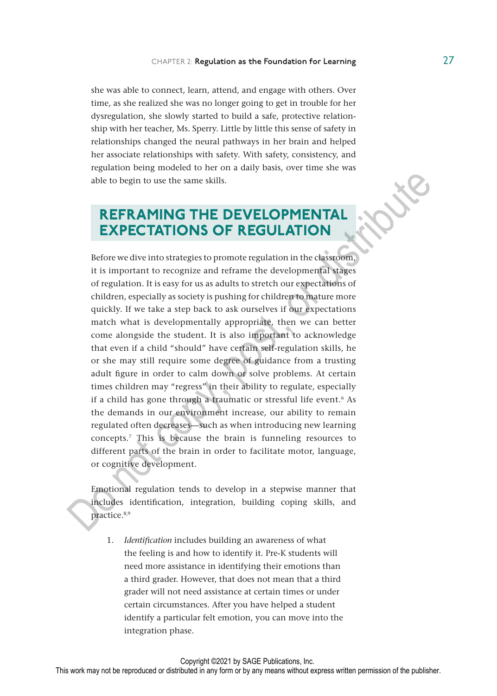she was able to connect, learn, attend, and engage with others. Over time, as she realized she was no longer going to get in trouble for her dysregulation, she slowly started to build a safe, protective relationship with her teacher, Ms. Sperry. Little by little this sense of safety in relationships changed the neural pathways in her brain and helped her associate relationships with safety. With safety, consistency, and regulation being modeled to her on a daily basis, over time she was able to begin to use the same skills.

## REFRAMING THE DEVELOPMENTAL EXPECTATIONS OF REGULATION

Before we dive into strategies to promote regulation in the classroom, it is important to recognize and reframe the developmental stages of regulation. It is easy for us as adults to stretch our expectations of children, especially as society is pushing for children to mature more quickly. If we take a step back to ask ourselves if our expectations match what is developmentally appropriate, then we can better come alongside the student. It is also important to acknowledge that even if a child "should" have certain self-regulation skills, he or she may still require some degree of guidance from a trusting adult figure in order to calm down or solve problems. At certain times children may "regress" in their ability to regulate, especially if a child has gone through a traumatic or stressful life event.<sup>6</sup> As the demands in our environment increase, our ability to remain regulated often decreases—such as when introducing new learning concepts.7 This is because the brain is funneling resources to different parts of the brain in order to facilitate motor, language, or cognitive development. able to begin to use the same skills.<br> **REFRAMING THE DEVELOPMENTAL**<br> **EXPECTATIONS OF REGULATION**<br>
Before we dive into strategies to promote regulation in the classroom,<br>
it is important to recognize and reframe the devel

Emotional regulation tends to develop in a stepwise manner that includes identification, integration, building coping skills, and practice.8,9

1. *Identification* includes building an awareness of what the feeling is and how to identify it. Pre-K students will need more assistance in identifying their emotions than a third grader. However, that does not mean that a third grader will not need assistance at certain times or under certain circumstances. After you have helped a student identify a particular felt emotion, you can move into the integration phase.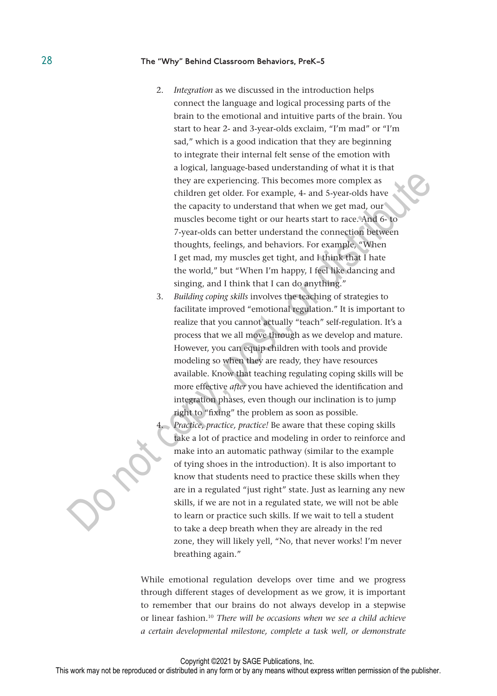- 2. *Integration* as we discussed in the introduction helps connect the language and logical processing parts of the brain to the emotional and intuitive parts of the brain. You start to hear 2- and 3-year-olds exclaim, "I'm mad" or "I'm sad," which is a good indication that they are beginning to integrate their internal felt sense of the emotion with a logical, language-based understanding of what it is that they are experiencing. This becomes more complex as children get older. For example, 4- and 5-year-olds have the capacity to understand that when we get mad, our muscles become tight or our hearts start to race. And 6- to 7-year-olds can better understand the connection between thoughts, feelings, and behaviors. For example, "When I get mad, my muscles get tight, and I think that I hate the world," but "When I'm happy, I feel like dancing and singing, and I think that I can do anything."
- 3. *Building coping skills* involves the teaching of strategies to facilitate improved "emotional regulation." It is important to realize that you cannot actually "teach" self-regulation. It's a process that we all move through as we develop and mature. However, you can equip children with tools and provide modeling so when they are ready, they have resources available. Know that teaching regulating coping skills will be more effective *after* you have achieved the identification and integration phases, even though our inclination is to jump right to "fixing" the problem as soon as possible. they are experiencing. This becomes more complex as<br>
children get older. For example, 4- and 5-year-olds have<br>
the capacity to understand that when we get mad, our<br>
muscles become tight or our hearts start to race. And 6-t
	- 4. *Practice, practice, practice!* Be aware that these coping skills take a lot of practice and modeling in order to reinforce and make into an automatic pathway (similar to the example of tying shoes in the introduction). It is also important to know that students need to practice these skills when they are in a regulated "just right" state. Just as learning any new skills, if we are not in a regulated state, we will not be able to learn or practice such skills. If we wait to tell a student to take a deep breath when they are already in the red zone, they will likely yell, "No, that never works! I'm never breathing again."

While emotional regulation develops over time and we progress through different stages of development as we grow, it is important to remember that our brains do not always develop in a stepwise or linear fashion.10 *There will be occasions when we see a child achieve a certain developmental milestone, complete a task well, or demonstrate*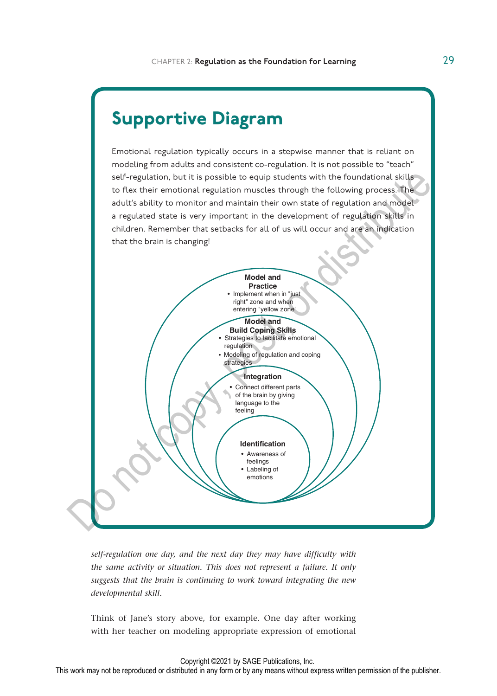## Supportive Diagram

Emotional regulation typically occurs in a stepwise manner that is reliant on modeling from adults and consistent co-regulation. It is not possible to "teach" self-regulation, but it is possible to equip students with the foundational skills to flex their emotional regulation muscles through the following process. The adult's ability to monitor and maintain their own state of regulation and model a regulated state is very important in the development of regulation skills in children. Remember that setbacks for all of us will occur and are an indication that the brain is changing!



*self-regulation one day, and the next day they may have difficulty with the same activity or situation. This does not represent a failure. It only suggests that the brain is continuing to work toward integrating the new developmental skill.*

Think of Jane's story above, for example. One day after working with her teacher on modeling appropriate expression of emotional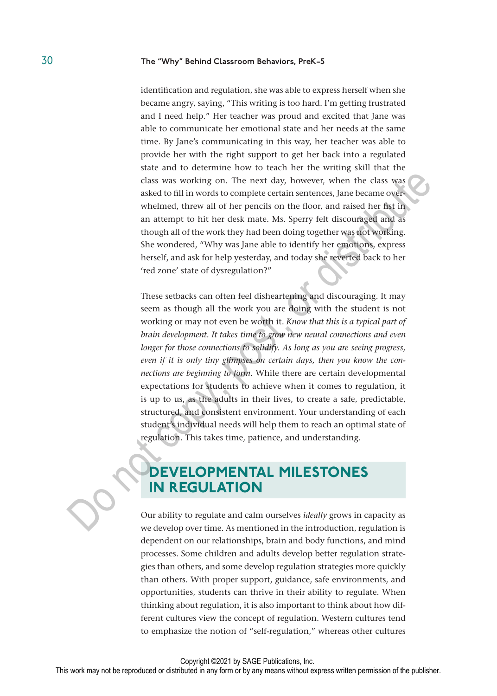identification and regulation, she was able to express herself when she became angry, saying, "This writing is too hard. I'm getting frustrated and I need help." Her teacher was proud and excited that Jane was able to communicate her emotional state and her needs at the same time. By Jane's communicating in this way, her teacher was able to provide her with the right support to get her back into a regulated state and to determine how to teach her the writing skill that the class was working on. The next day, however, when the class was asked to fill in words to complete certain sentences, Jane became overwhelmed, threw all of her pencils on the floor, and raised her fist in an attempt to hit her desk mate. Ms. Sperry felt discouraged and as though all of the work they had been doing together was not working. She wondered, "Why was Jane able to identify her emotions, express herself, and ask for help yesterday, and today she reverted back to her 'red zone' state of dysregulation?"

These setbacks can often feel disheartening and discouraging. It may seem as though all the work you are doing with the student is not working or may not even be worth it. *Know that this is a typical part of brain development. It takes time to grow new neural connections and even longer for those connections to solidify. As long as you are seeing progress, even if it is only tiny glimpses on certain days, then you know the connections are beginning to form.* While there are certain developmental expectations for students to achieve when it comes to regulation, it is up to us, as the adults in their lives, to create a safe, predictable, structured, and consistent environment. Your understanding of each student's individual needs will help them to reach an optimal state of regulation. This takes time, patience, and understanding. class was working on. The next day, however, when the class was easked to fill in words to complete certain sentence, Jane became over-<br>whelmed, threw all of her pencils on the floor, and raised her fix in<br>an attempt to h

## DEVELOPMENTAL MILESTONES IN REGULATION

Our ability to regulate and calm ourselves *ideally* grows in capacity as we develop over time. As mentioned in the introduction, regulation is dependent on our relationships, brain and body functions, and mind processes. Some children and adults develop better regulation strategies than others, and some develop regulation strategies more quickly than others. With proper support, guidance, safe environments, and opportunities, students can thrive in their ability to regulate. When thinking about regulation, it is also important to think about how different cultures view the concept of regulation. Western cultures tend to emphasize the notion of "self-regulation," whereas other cultures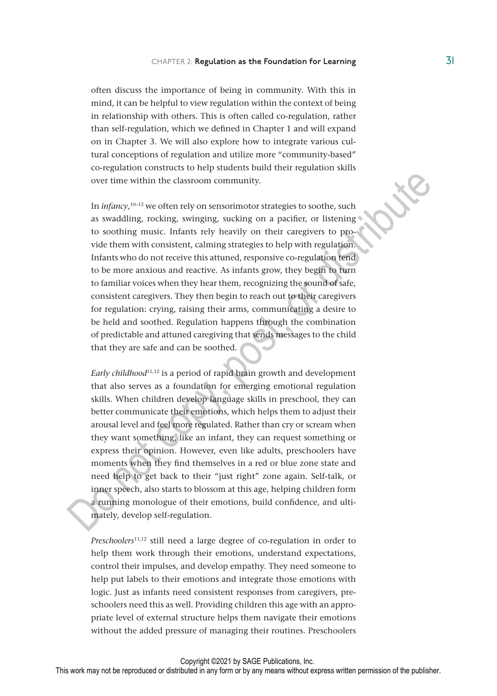often discuss the importance of being in community. With this in mind, it can be helpful to view regulation within the context of being in relationship with others. This is often called co-regulation, rather than self-regulation, which we defined in Chapter 1 and will expand on in Chapter 3. We will also explore how to integrate various cultural conceptions of regulation and utilize more "community-based" co-regulation constructs to help students build their regulation skills over time within the classroom community.

In *infancy*,<sup>10-12</sup> we often rely on sensorimotor strategies to soothe, such as swaddling, rocking, swinging, sucking on a pacifier, or listening to soothing music. Infants rely heavily on their caregivers to provide them with consistent, calming strategies to help with regulation. Infants who do not receive this attuned, responsive co-regulation tend to be more anxious and reactive. As infants grow, they begin to turn to familiar voices when they hear them, recognizing the sound of safe, consistent caregivers. They then begin to reach out to their caregivers for regulation: crying, raising their arms, communicating a desire to be held and soothed. Regulation happens through the combination of predictable and attuned caregiving that sends messages to the child that they are safe and can be soothed. over time within the classroom community.<br>
In  $infancy$ , we coften rely on sensorimotor strategies to soothe, such as swaddling, rocking, swinging, sucking on a pacifier, or listening to soothing music. Infants rely heavily o

*Early childhood*11,12 is a period of rapid brain growth and development that also serves as a foundation for emerging emotional regulation skills. When children develop language skills in preschool, they can better communicate their emotions, which helps them to adjust their arousal level and feel more regulated. Rather than cry or scream when they want something, like an infant, they can request something or express their opinion. However, even like adults, preschoolers have moments when they find themselves in a red or blue zone state and need help to get back to their "just right" zone again. Self-talk, or inner speech, also starts to blossom at this age, helping children form a running monologue of their emotions, build confidence, and ultimately, develop self-regulation.

*Preschoolers*11,12 still need a large degree of co-regulation in order to help them work through their emotions, understand expectations, control their impulses, and develop empathy. They need someone to help put labels to their emotions and integrate those emotions with logic. Just as infants need consistent responses from caregivers, preschoolers need this as well. Providing children this age with an appropriate level of external structure helps them navigate their emotions without the added pressure of managing their routines. Preschoolers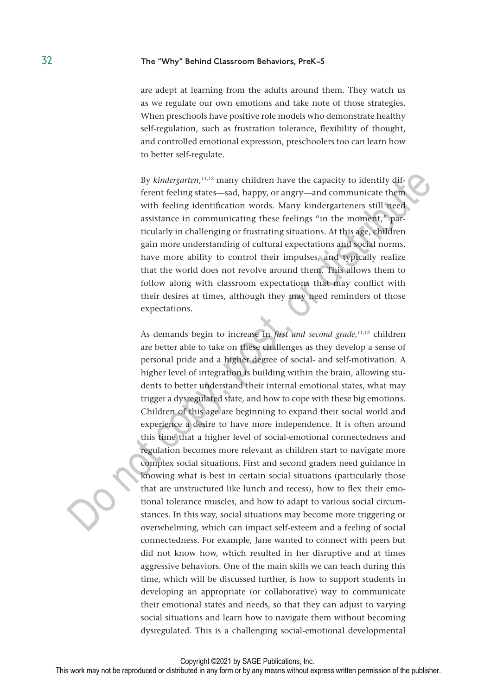are adept at learning from the adults around them. They watch us as we regulate our own emotions and take note of those strategies. When preschools have positive role models who demonstrate healthy self-regulation, such as frustration tolerance, flexibility of thought, and controlled emotional expression, preschoolers too can learn how to better self-regulate.

By kindergarten,<sup>11,12</sup> many children have the capacity to identify different feeling states—sad, happy, or angry—and communicate them with feeling identification words. Many kindergarteners still need assistance in communicating these feelings "in the moment," particularly in challenging or frustrating situations. At this age, children gain more understanding of cultural expectations and social norms, have more ability to control their impulses, and typically realize that the world does not revolve around them. This allows them to follow along with classroom expectations that may conflict with their desires at times, although they may need reminders of those expectations.

As demands begin to increase in *first and second grade*, 11,12 children are better able to take on these challenges as they develop a sense of personal pride and a higher degree of social- and self-motivation. A higher level of integration is building within the brain, allowing students to better understand their internal emotional states, what may trigger a dysregulated state, and how to cope with these big emotions. Children of this age are beginning to expand their social world and experience a desire to have more independence. It is often around this time that a higher level of social-emotional connectedness and regulation becomes more relevant as children start to navigate more complex social situations. First and second graders need guidance in knowing what is best in certain social situations (particularly those that are unstructured like lunch and recess), how to flex their emotional tolerance muscles, and how to adapt to various social circumstances. In this way, social situations may become more triggering or overwhelming, which can impact self-esteem and a feeling of social connectedness. For example, Jane wanted to connect with peers but did not know how, which resulted in her disruptive and at times aggressive behaviors. One of the main skills we can teach during this time, which will be discussed further, is how to support students in developing an appropriate (or collaborative) way to communicate their emotional states and needs, so that they can adjust to varying social situations and learn how to navigate them without becoming dysregulated. This is a challenging social-emotional developmental By *kindergarten*,<sup>11,12</sup> many children have the capacity to identify dif-<br>ferent feeling tates—sad, happy, or angry—and communicate them<br>with feeling identification words. Many kindergarteners still need<br>assistance in co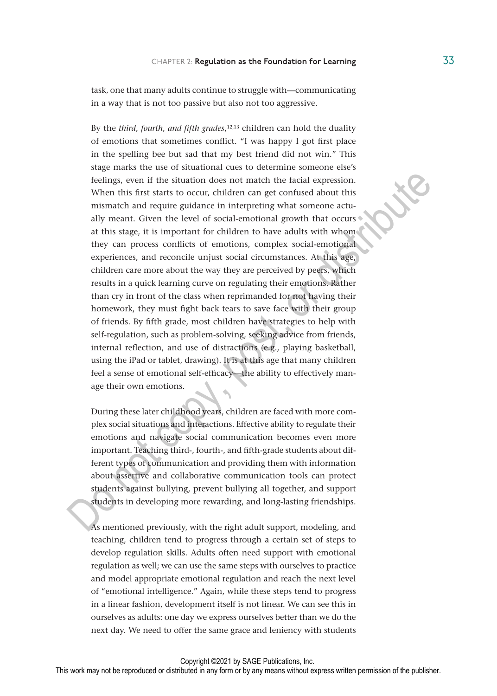task, one that many adults continue to struggle with—communicating in a way that is not too passive but also not too aggressive.

By the *third, fourth, and fifth grades*, 12,13 children can hold the duality of emotions that sometimes conflict. "I was happy I got first place in the spelling bee but sad that my best friend did not win." This stage marks the use of situational cues to determine someone else's feelings, even if the situation does not match the facial expression. When this first starts to occur, children can get confused about this mismatch and require guidance in interpreting what someone actually meant. Given the level of social-emotional growth that occurs at this stage, it is important for children to have adults with whom they can process conflicts of emotions, complex social-emotional experiences, and reconcile unjust social circumstances. At this age, children care more about the way they are perceived by peers, which results in a quick learning curve on regulating their emotions. Rather than cry in front of the class when reprimanded for not having their homework, they must fight back tears to save face with their group of friends. By fifth grade, most children have strategies to help with self-regulation, such as problem-solving, seeking advice from friends, internal reflection, and use of distractions (e.g., playing basketball, using the iPad or tablet, drawing). It is at this age that many children feel a sense of emotional self-efficacy—the ability to effectively manage their own emotions. feelings, even if the situation does not match the facial expression.<br>
When this first starts to occur, childen can get conical about this<br>
mismatch and require guidance in interpreting what someone actu-<br>
ally meant. Give

During these later childhood years, children are faced with more complex social situations and interactions. Effective ability to regulate their emotions and navigate social communication becomes even more important. Teaching third-, fourth-, and fifth-grade students about different types of communication and providing them with information about assertive and collaborative communication tools can protect students against bullying, prevent bullying all together, and support students in developing more rewarding, and long-lasting friendships.

As mentioned previously, with the right adult support, modeling, and teaching, children tend to progress through a certain set of steps to develop regulation skills. Adults often need support with emotional regulation as well; we can use the same steps with ourselves to practice and model appropriate emotional regulation and reach the next level of "emotional intelligence." Again, while these steps tend to progress in a linear fashion, development itself is not linear. We can see this in ourselves as adults: one day we express ourselves better than we do the next day. We need to offer the same grace and leniency with students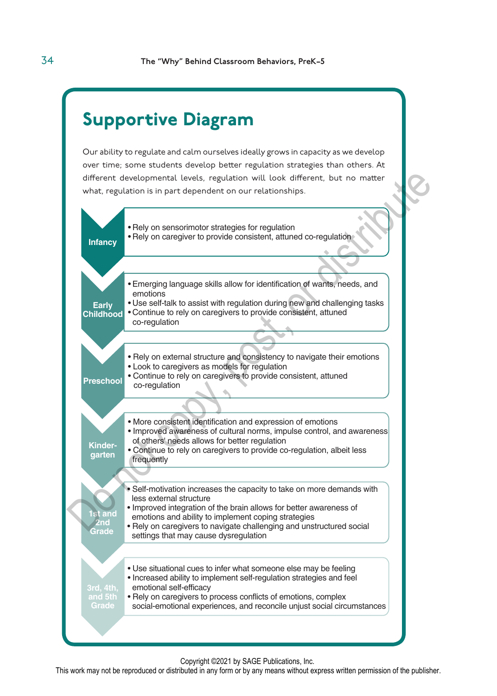## Supportive Diagram

Our ability to regulate and calm ourselves ideally grows in capacity as we develop over time; some students develop better regulation strategies than others. At different developmental levels, regulation will look different, but no matter what, regulation is in part dependent on our relationships.



Copyright ©2021 by SAGE Publications, Inc.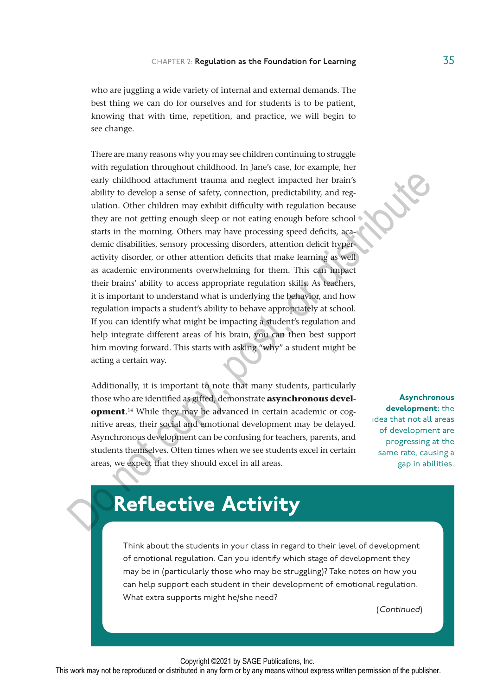who are juggling a wide variety of internal and external demands. The best thing we can do for ourselves and for students is to be patient, knowing that with time, repetition, and practice, we will begin to see change.

There are many reasons why you may see children continuing to struggle with regulation throughout childhood. In Jane's case, for example, her early childhood attachment trauma and neglect impacted her brain's ability to develop a sense of safety, connection, predictability, and regulation. Other children may exhibit difficulty with regulation because they are not getting enough sleep or not eating enough before school starts in the morning. Others may have processing speed deficits, academic disabilities, sensory processing disorders, attention deficit hyperactivity disorder, or other attention deficits that make learning as well as academic environments overwhelming for them. This can impact their brains' ability to access appropriate regulation skills. As teachers, it is important to understand what is underlying the behavior, and how regulation impacts a student's ability to behave appropriately at school. If you can identify what might be impacting a student's regulation and help integrate different areas of his brain, you can then best support him moving forward. This starts with asking "why" a student might be acting a certain way. early childhood attachment trauma and neglect impacted her brain's<br>ability to develop a sense of safety, connection, predictability, and regulation<br>duation. Other children may exhibit difficulty with regulation because<br>the

Additionally, it is important to note that many students, particularly those who are identified as gifted, demonstrate **asynchronous development**. 14 While they may be advanced in certain academic or cognitive areas, their social and emotional development may be delayed. Asynchronous development can be confusing for teachers, parents, and students themselves. Often times when we see students excel in certain areas, we expect that they should excel in all areas.

**Asynchronous** development: the idea that not all areas of development are progressing at the same rate, causing a gap in abilities.

## Reflective Activity

Think about the students in your class in regard to their level of development of emotional regulation. Can you identify which stage of development they may be in (particularly those who may be struggling)? Take notes on how you can help support each student in their development of emotional regulation. What extra supports might he/she need?

(Continued)

Copyright ©2021 by SAGE Publications, Inc.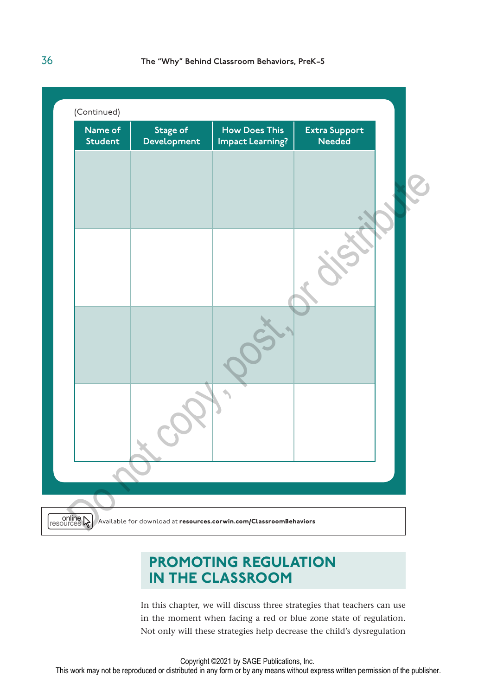

## PROMOTING REGULATION IN THE CLASSROOM

In this chapter, we will discuss three strategies that teachers can use in the moment when facing a red or blue zone state of regulation. Not only will these strategies help decrease the child's dysregulation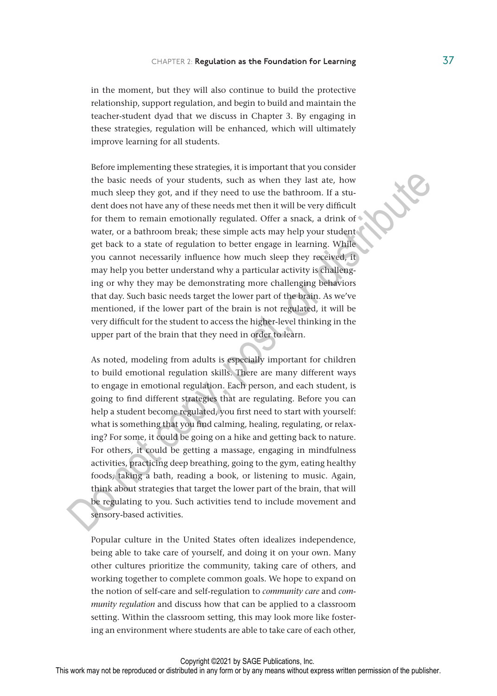in the moment, but they will also continue to build the protective relationship, support regulation, and begin to build and maintain the teacher-student dyad that we discuss in Chapter 3. By engaging in these strategies, regulation will be enhanced, which will ultimately improve learning for all students.

Before implementing these strategies, it is important that you consider the basic needs of your students, such as when they last ate, how much sleep they got, and if they need to use the bathroom. If a student does not have any of these needs met then it will be very difficult for them to remain emotionally regulated. Offer a snack, a drink of water, or a bathroom break; these simple acts may help your student get back to a state of regulation to better engage in learning. While you cannot necessarily influence how much sleep they received, it may help you better understand why a particular activity is challenging or why they may be demonstrating more challenging behaviors that day. Such basic needs target the lower part of the brain. As we've mentioned, if the lower part of the brain is not regulated, it will be very difficult for the student to access the higher-level thinking in the upper part of the brain that they need in order to learn. the basic needs of your students, such as when they last ate, how<br>much sleep they got, and if they need to use the bathroom. If a stu-<br>dent does not have any of these needs met then it will be very difficult<br>for them to re

As noted, modeling from adults is especially important for children to build emotional regulation skills. There are many different ways to engage in emotional regulation. Each person, and each student, is going to find different strategies that are regulating. Before you can help a student become regulated, you first need to start with yourself: what is something that you find calming, healing, regulating, or relaxing? For some, it could be going on a hike and getting back to nature. For others, it could be getting a massage, engaging in mindfulness activities, practicing deep breathing, going to the gym, eating healthy foods, taking a bath, reading a book, or listening to music. Again, think about strategies that target the lower part of the brain, that will be regulating to you. Such activities tend to include movement and sensory-based activities.

Popular culture in the United States often idealizes independence, being able to take care of yourself, and doing it on your own. Many other cultures prioritize the community, taking care of others, and working together to complete common goals. We hope to expand on the notion of self-care and self-regulation to *community care* and *community regulation* and discuss how that can be applied to a classroom setting. Within the classroom setting, this may look more like fostering an environment where students are able to take care of each other,

Copyright ©2021 by SAGE Publications, Inc.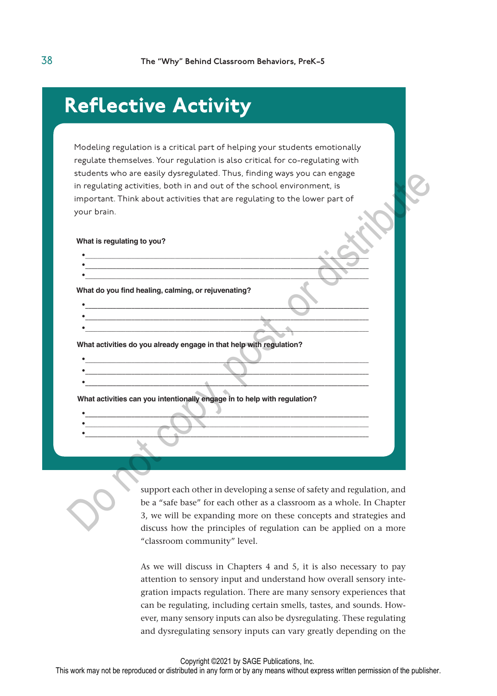## Reflective Activity

Modeling regulation is a critical part of helping your students emotionally regulate themselves. Your regulation is also critical for co-regulating with students who are easily dysregulated. Thus, finding ways you can engage in regulating activities, both in and out of the school environment, is important. Think about activities that are regulating to the lower part of your brain.

**What is regulating to you?**

**• • •**

**• • •**

**• • •**

**• • •**

**What do you find healing, calming, or rejuvenating?**

**What activities do you already engage in that help with regulation?**

**What activities can you intentionally engage in to help with regulation?** 

support each other in developing a sense of safety and regulation, and be a "safe base" for each other as a classroom as a whole. In Chapter 3, we will be expanding more on these concepts and strategies and discuss how the principles of regulation can be applied on a more "classroom community" level. students who are easily dysregulated. Thus, finding way you can engage<br>in regulating activities, both in and out of the school environment, is<br>important. Think about activities that are regulating to the lower part of<br>your

> As we will discuss in Chapters 4 and 5, it is also necessary to pay attention to sensory input and understand how overall sensory integration impacts regulation. There are many sensory experiences that can be regulating, including certain smells, tastes, and sounds. However, many sensory inputs can also be dysregulating. These regulating and dysregulating sensory inputs can vary greatly depending on the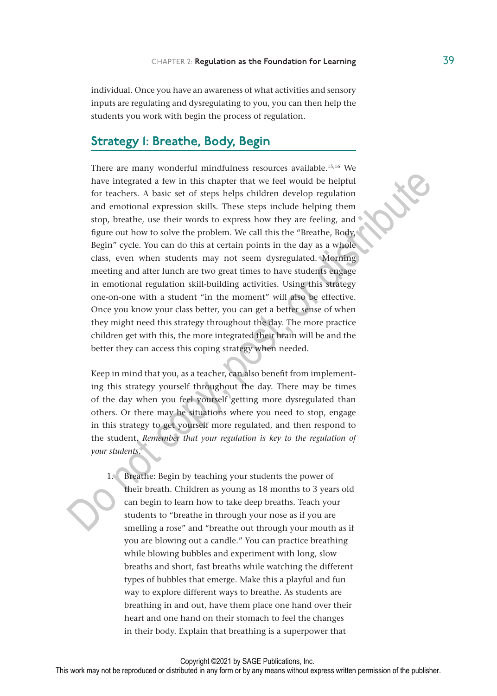individual. Once you have an awareness of what activities and sensory inputs are regulating and dysregulating to you, you can then help the students you work with begin the process of regulation.

### Strategy 1: Breathe, Body, Begin

There are many wonderful mindfulness resources available.15,16 We have integrated a few in this chapter that we feel would be helpful for teachers. A basic set of steps helps children develop regulation and emotional expression skills. These steps include helping them stop, breathe, use their words to express how they are feeling, and figure out how to solve the problem. We call this the "Breathe, Body, Begin" cycle. You can do this at certain points in the day as a whole class, even when students may not seem dysregulated. Morning meeting and after lunch are two great times to have students engage in emotional regulation skill-building activities. Using this strategy one-on-one with a student "in the moment" will also be effective. Once you know your class better, you can get a better sense of when they might need this strategy throughout the day. The more practice children get with this, the more integrated their brain will be and the better they can access this coping strategy when needed. have integrated a few in this chapter that we feel would be helpful<br>for teachers. A basic set of steps helpful same develop regulation<br>and emotional expression skills. These steps include helping them<br>stop, breathe, use t

Keep in mind that you, as a teacher, can also benefit from implementing this strategy yourself throughout the day. There may be times of the day when you feel yourself getting more dysregulated than others. Or there may be situations where you need to stop, engage in this strategy to get yourself more regulated, and then respond to the student. *Remember that your regulation is key to the regulation of your students.*

1. Breathe: Begin by teaching your students the power of their breath. Children as young as 18 months to 3 years old can begin to learn how to take deep breaths. Teach your students to "breathe in through your nose as if you are smelling a rose" and "breathe out through your mouth as if you are blowing out a candle." You can practice breathing while blowing bubbles and experiment with long, slow breaths and short, fast breaths while watching the different types of bubbles that emerge. Make this a playful and fun way to explore different ways to breathe. As students are breathing in and out, have them place one hand over their heart and one hand on their stomach to feel the changes in their body. Explain that breathing is a superpower that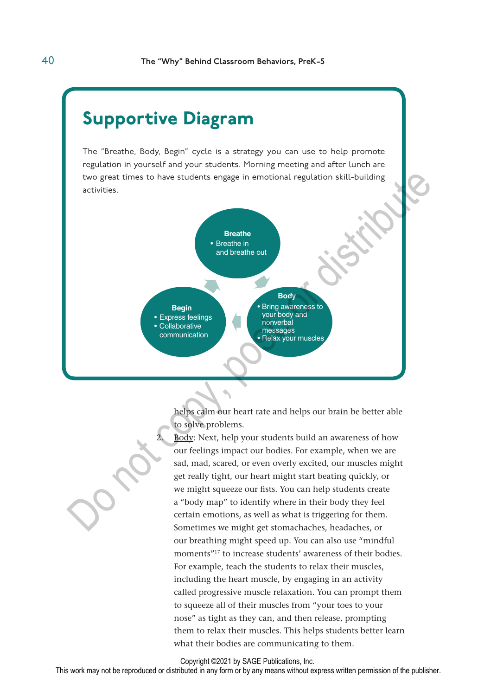## Supportive Diagram

The "Breathe, Body, Begin" cycle is a strategy you can use to help promote regulation in yourself and your students. Morning meeting and after lunch are two great times to have students engage in emotional regulation skill-building activities.



helps calm our heart rate and helps our brain be better able to solve problems.

Body: Next, help your students build an awareness of how our feelings impact our bodies. For example, when we are sad, mad, scared, or even overly excited, our muscles might get really tight, our heart might start beating quickly, or we might squeeze our fists. You can help students create a "body map" to identify where in their body they feel certain emotions, as well as what is triggering for them. Sometimes we might get stomachaches, headaches, or our breathing might speed up. You can also use "mindful moments"17 to increase students' awareness of their bodies. For example, teach the students to relax their muscles, including the heart muscle, by engaging in an activity called progressive muscle relaxation. You can prompt them to squeeze all of their muscles from "your toes to your nose" as tight as they can, and then release, prompting them to relax their muscles. This helps students better learn what their bodies are communicating to them.

Copyright ©2021 by SAGE Publications, Inc.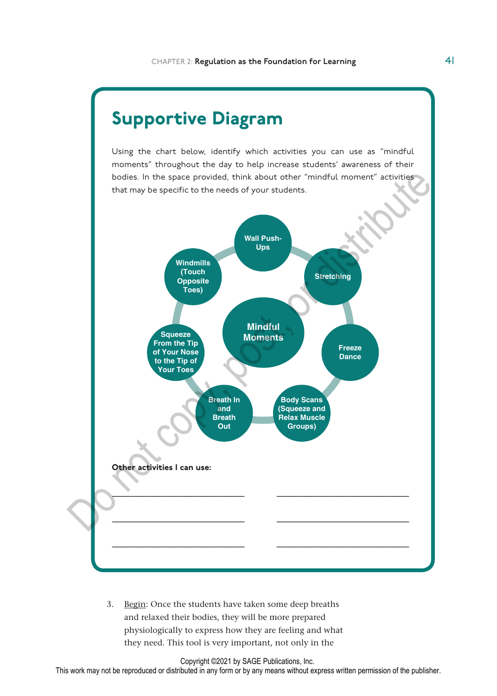

Using the chart below, identify which activities you can use as "mindful moments" throughout the day to help increase students' awareness of their bodies. In the space provided, think about other "mindful moment" activities that may be specific to the needs of your students.



3. Begin: Once the students have taken some deep breaths and relaxed their bodies, they will be more prepared physiologically to express how they are feeling and what they need. This tool is very important, not only in the

Copyright ©2021 by SAGE Publications, Inc.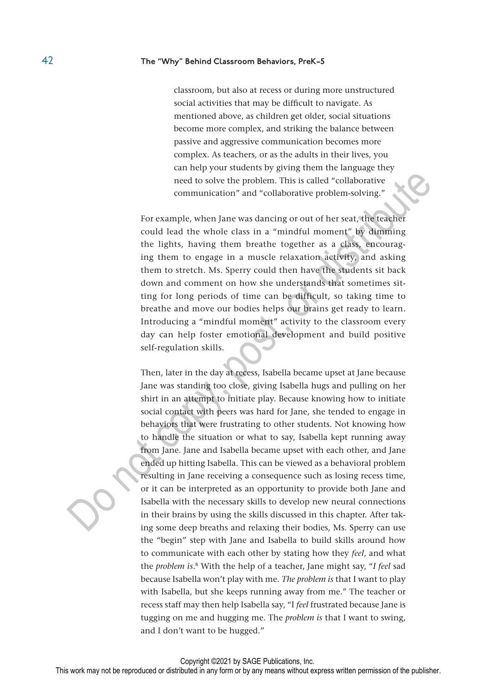classroom, but also at recess or during more unstructured social activities that may be difficult to navigate. As mentioned above, as children get older, social situations become more complex, and striking the balance between passive and aggressive communication becomes more complex. As teachers, or as the adults in their lives, you can help your students by giving them the language they need to solve the problem. This is called "collaborative communication" and "collaborative problem-solving."

For example, when Jane was dancing or out of her seat, the teacher could lead the whole class in a "mindful moment" by dimming the lights, having them breathe together as a class, encouraging them to engage in a muscle relaxation activity, and asking them to stretch. Ms. Sperry could then have the students sit back down and comment on how she understands that sometimes sitting for long periods of time can be difficult, so taking time to breathe and move our bodies helps our brains get ready to learn. Introducing a "mindful moment" activity to the classroom every day can help foster emotional development and build positive self-regulation skills.

Then, later in the day at recess, Isabella became upset at Jane because Jane was standing too close, giving Isabella hugs and pulling on her shirt in an attempt to initiate play. Because knowing how to initiate social contact with peers was hard for Jane, she tended to engage in behaviors that were frustrating to other students. Not knowing how to handle the situation or what to say, Isabella kept running away from Jane. Jane and Isabella became upset with each other, and Jane ended up hitting Isabella. This can be viewed as a behavioral problem resulting in Jane receiving a consequence such as losing recess time, or it can be interpreted as an opportunity to provide both Jane and Isabella with the necessary skills to develop new neural connections in their brains by using the skills discussed in this chapter. After taking some deep breaths and relaxing their bodies, Ms. Sperry can use the "begin" step with Jane and Isabella to build skills around how to communicate with each other by stating how they *feel*, and what the *problem is*. 8 With the help of a teacher, Jane might say, "*I feel* sad because Isabella won't play with me. *The problem is* that I want to play with Isabella, but she keeps running away from me." The teacher or recess staff may then help Isabella say, "I *feel* frustrated because Jane is tugging on me and hugging me. The *problem is* that I want to swing, and I don't want to be hugged." need to solve the problem. This is called "collaborative"<br>
communication" and "collaborative problem-solving."<br>
For example, when Jane was dancing or out of her seat, the teater<br>
could lead the whole class in a "mindful mo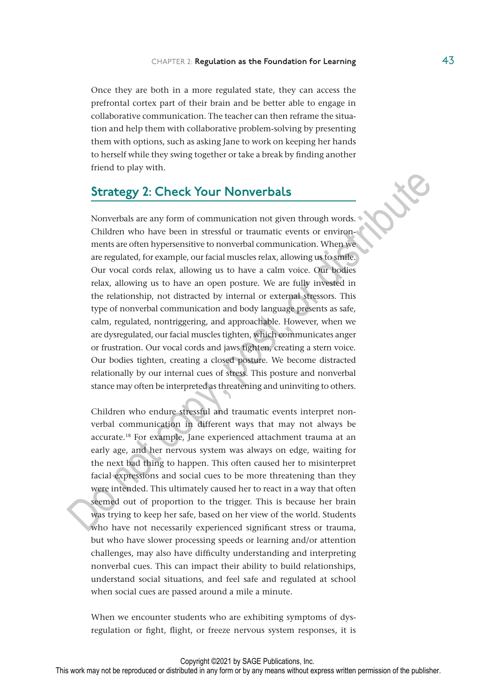Once they are both in a more regulated state, they can access the prefrontal cortex part of their brain and be better able to engage in collaborative communication. The teacher can then reframe the situation and help them with collaborative problem-solving by presenting them with options, such as asking Jane to work on keeping her hands to herself while they swing together or take a break by finding another friend to play with.

### Strategy 2: Check Your Nonverbals

Nonverbals are any form of communication not given through words. Children who have been in stressful or traumatic events or environments are often hypersensitive to nonverbal communication. When we are regulated, for example, our facial muscles relax, allowing us to smile. Our vocal cords relax, allowing us to have a calm voice. Our bodies relax, allowing us to have an open posture. We are fully invested in the relationship, not distracted by internal or external stressors. This type of nonverbal communication and body language presents as safe, calm, regulated, nontriggering, and approachable. However, when we are dysregulated, our facial muscles tighten, which communicates anger or frustration. Our vocal cords and jaws tighten, creating a stern voice. Our bodies tighten, creating a closed posture. We become distracted relationally by our internal cues of stress. This posture and nonverbal stance may often be interpreted as threatening and uninviting to others. **Strategy 2: Check Your Nonverbals**<br>
Nonverbals are any form of communication not given through words.<br>
Children who have been in stressful or traumatic events or environments are often hypersensitive to nonverbal communi

Children who endure stressful and traumatic events interpret nonverbal communication in different ways that may not always be accurate.18 For example, Jane experienced attachment trauma at an early age, and her nervous system was always on edge, waiting for the next bad thing to happen. This often caused her to misinterpret facial expressions and social cues to be more threatening than they were intended. This ultimately caused her to react in a way that often seemed out of proportion to the trigger. This is because her brain was trying to keep her safe, based on her view of the world. Students who have not necessarily experienced significant stress or trauma, but who have slower processing speeds or learning and/or attention challenges, may also have difficulty understanding and interpreting nonverbal cues. This can impact their ability to build relationships, understand social situations, and feel safe and regulated at school when social cues are passed around a mile a minute.

When we encounter students who are exhibiting symptoms of dysregulation or fight, flight, or freeze nervous system responses, it is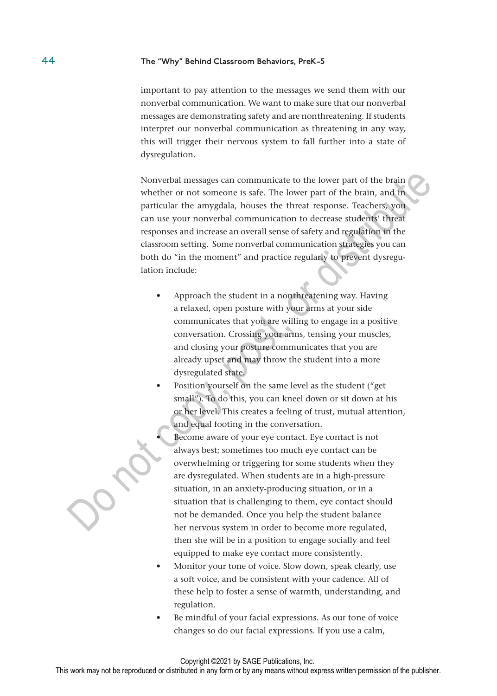important to pay attention to the messages we send them with our nonverbal communication. We want to make sure that our nonverbal messages are demonstrating safety and are nonthreatening. If students interpret our nonverbal communication as threatening in any way, this will trigger their nervous system to fall further into a state of dysregulation.

Nonverbal messages can communicate to the lower part of the brain whether or not someone is safe. The lower part of the brain, and in particular the amygdala, houses the threat response. Teachers, you can use your nonverbal communication to decrease students' threat responses and increase an overall sense of safety and regulation in the classroom setting. Some nonverbal communication strategies you can both do "in the moment" and practice regularly to prevent dysregulation include: Nonverbal messages can communicate to the lower part of the brain<br>
whether or not someone is safe. The lower part of the brain, and find<br>
particular the amygdala, houses the threat response. Teachers, you<br>
can use your non

- Approach the student in a nonthreatening way. Having a relaxed, open posture with your arms at your side communicates that you are willing to engage in a positive conversation. Crossing your arms, tensing your muscles, and closing your posture communicates that you are already upset and may throw the student into a more dysregulated state.
- Position yourself on the same level as the student ("get small"). To do this, you can kneel down or sit down at his or her level. This creates a feeling of trust, mutual attention, and equal footing in the conversation.
	- Become aware of your eye contact. Eye contact is not always best; sometimes too much eye contact can be overwhelming or triggering for some students when they are dysregulated. When students are in a high-pressure situation, in an anxiety-producing situation, or in a situation that is challenging to them, eye contact should not be demanded. Once you help the student balance her nervous system in order to become more regulated, then she will be in a position to engage socially and feel equipped to make eye contact more consistently.
- Monitor your tone of voice. Slow down, speak clearly, use a soft voice, and be consistent with your cadence. All of these help to foster a sense of warmth, understanding, and regulation.
- Be mindful of your facial expressions. As our tone of voice changes so do our facial expressions. If you use a calm,

#### Copyright ©2021 by SAGE Publications, Inc.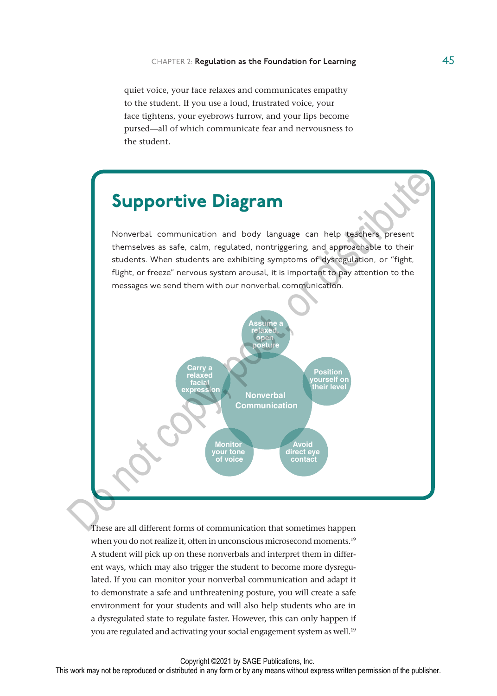quiet voice, your face relaxes and communicates empathy to the student. If you use a loud, frustrated voice, your face tightens, your eyebrows furrow, and your lips become pursed—all of which communicate fear and nervousness to the student.

## Supportive Diagram

Nonverbal communication and body language can help teachers present themselves as safe, calm, regulated, nontriggering, and approachable to their students. When students are exhibiting symptoms of dysregulation, or "fight, flight, or freeze" nervous system arousal, it is important to pay attention to the messages we send them with our nonverbal communication.



These are all different forms of communication that sometimes happen when you do not realize it, often in unconscious microsecond moments.<sup>19</sup> A student will pick up on these nonverbals and interpret them in different ways, which may also trigger the student to become more dysregulated. If you can monitor your nonverbal communication and adapt it to demonstrate a safe and unthreatening posture, you will create a safe environment for your students and will also help students who are in a dysregulated state to regulate faster. However, this can only happen if you are regulated and activating your social engagement system as well.<sup>19</sup>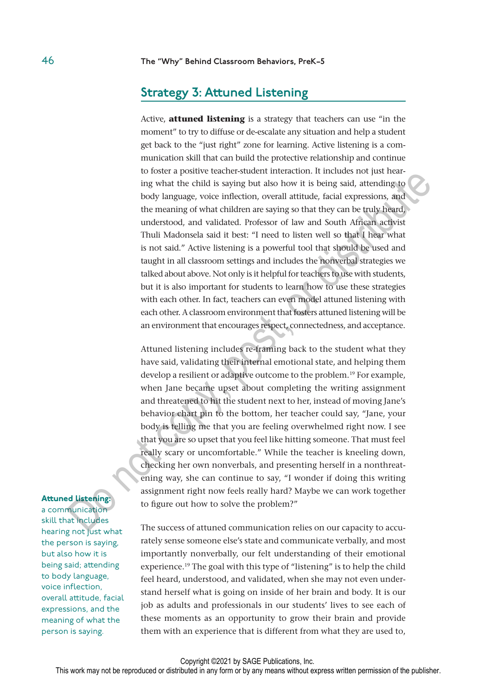### Strategy 3: Attuned Listening

Active, **attuned listening** is a strategy that teachers can use "in the moment" to try to diffuse or de-escalate any situation and help a student get back to the "just right" zone for learning. Active listening is a communication skill that can build the protective relationship and continue to foster a positive teacher-student interaction. It includes not just hearing what the child is saying but also how it is being said, attending to body language, voice inflection, overall attitude, facial expressions, and the meaning of what children are saying so that they can be truly heard, understood, and validated. Professor of law and South African activist Thuli Madonsela said it best: "I need to listen well so that I hear what is not said." Active listening is a powerful tool that should be used and taught in all classroom settings and includes the nonverbal strategies we talked about above. Not only is it helpful for teachers to use with students, but it is also important for students to learn how to use these strategies with each other. In fact, teachers can even model attuned listening with each other. A classroom environment that fosters attuned listening will be an environment that encourages respect, connectedness, and acceptance. to use a positive vacteris-sunction that the<br>ratio of the product of polarity and polarity and polarity ing what the the<br>distribute polarity and the meaning of the meaning of the production, over<br>all attitude, facial expr

Attuned listening includes re-framing back to the student what they have said, validating their internal emotional state, and helping them develop a resilient or adaptive outcome to the problem.<sup>19</sup> For example, when Jane became upset about completing the writing assignment and threatened to hit the student next to her, instead of moving Jane's behavior chart pin to the bottom, her teacher could say, "Jane, your body is telling me that you are feeling overwhelmed right now. I see that you are so upset that you feel like hitting someone. That must feel really scary or uncomfortable." While the teacher is kneeling down, checking her own nonverbals, and presenting herself in a nonthreatening way, she can continue to say, "I wonder if doing this writing assignment right now feels really hard? Maybe we can work together to figure out how to solve the problem?"

The success of attuned communication relies on our capacity to accurately sense someone else's state and communicate verbally, and most importantly nonverbally, our felt understanding of their emotional experience.<sup>19</sup> The goal with this type of "listening" is to help the child feel heard, understood, and validated, when she may not even understand herself what is going on inside of her brain and body. It is our job as adults and professionals in our students' lives to see each of these moments as an opportunity to grow their brain and provide them with an experience that is different from what they are used to,

#### Attuned listening:

a communication skill that includes hearing not just what the person is saying, but also how it is being said; attending to body language, voice inflection, overall attitude, facial expressions, and the meaning of what the person is saying.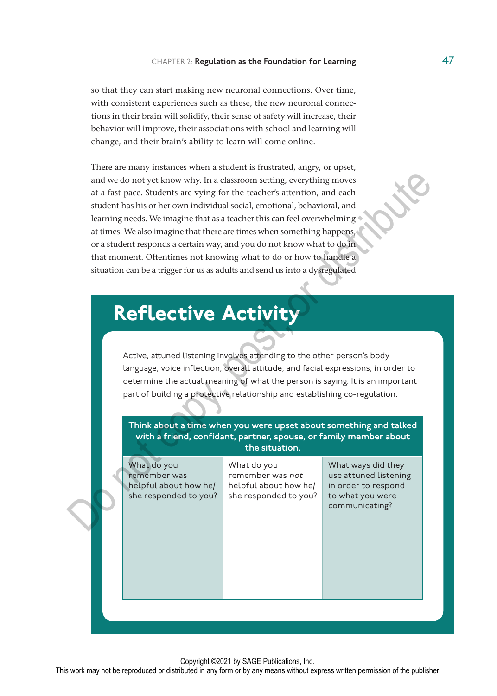so that they can start making new neuronal connections. Over time, with consistent experiences such as these, the new neuronal connections in their brain will solidify, their sense of safety will increase, their behavior will improve, their associations with school and learning will change, and their brain's ability to learn will come online.

There are many instances when a student is frustrated, angry, or upset, and we do not yet know why. In a classroom setting, everything moves at a fast pace. Students are vying for the teacher's attention, and each student has his or her own individual social, emotional, behavioral, and learning needs. We imagine that as a teacher this can feel overwhelming at times. We also imagine that there are times when something happens, or a student responds a certain way, and you do not know what to do in that moment. Oftentimes not knowing what to do or how to handle a situation can be a trigger for us as adults and send us into a dysregulated

## Reflective Activity

Active, attuned listening involves attending to the other person's body language, voice inflection, overall attitude, and facial expressions, in order to determine the actual meaning of what the person is saying. It is an important part of building a protective relationship and establishing co-regulation.



Copyright ©2021 by SAGE Publications, Inc.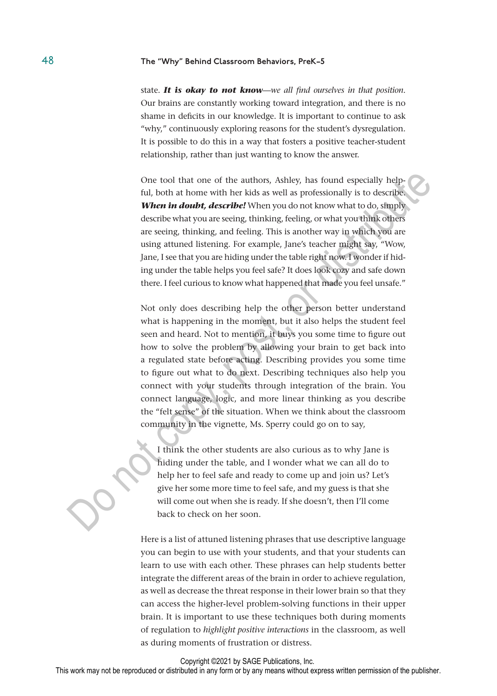state. *It is okay to not know*—*we all find ourselves in that position*. Our brains are constantly working toward integration, and there is no shame in deficits in our knowledge. It is important to continue to ask "why," continuously exploring reasons for the student's dysregulation. It is possible to do this in a way that fosters a positive teacher-student relationship, rather than just wanting to know the answer.

One tool that one of the authors, Ashley, has found especially helpful, both at home with her kids as well as professionally is to describe. *When in doubt, describe!* When you do not know what to do, simply describe what you are seeing, thinking, feeling, or what you think others are seeing, thinking, and feeling. This is another way in which you are using attuned listening. For example, Jane's teacher might say, "Wow, Jane, I see that you are hiding under the table right now. I wonder if hiding under the table helps you feel safe? It does look cozy and safe down there. I feel curious to know what happened that made you feel unsafe."

Not only does describing help the other person better understand what is happening in the moment, but it also helps the student feel seen and heard. Not to mention, it buys you some time to figure out how to solve the problem by allowing your brain to get back into a regulated state before acting. Describing provides you some time to figure out what to do next. Describing techniques also help you connect with your students through integration of the brain. You connect language, logic, and more linear thinking as you describe the "felt sense" of the situation. When we think about the classroom community in the vignette, Ms. Sperry could go on to say, One tool that one of the authors, Ashley, has found especially help-<br>ful, both at home with her kids as well as professionally is to describe<br>Wher in doubt, described When you do not know what to do, simply<br>More in doubt,

I think the other students are also curious as to why Jane is hiding under the table, and I wonder what we can all do to help her to feel safe and ready to come up and join us? Let's give her some more time to feel safe, and my guess is that she will come out when she is ready. If she doesn't, then I'll come back to check on her soon.

Here is a list of attuned listening phrases that use descriptive language you can begin to use with your students, and that your students can learn to use with each other. These phrases can help students better integrate the different areas of the brain in order to achieve regulation, as well as decrease the threat response in their lower brain so that they can access the higher-level problem-solving functions in their upper brain. It is important to use these techniques both during moments of regulation to *highlight positive interactions* in the classroom, as well as during moments of frustration or distress.

Copyright ©2021 by SAGE Publications, Inc.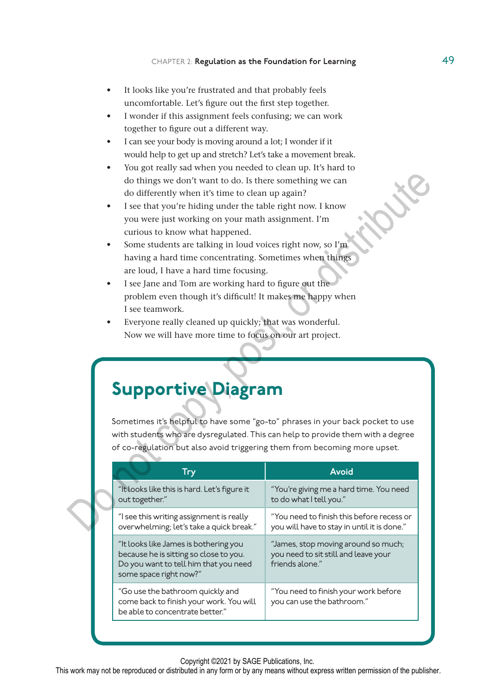- It looks like you're frustrated and that probably feels uncomfortable. Let's figure out the first step together.
- I wonder if this assignment feels confusing; we can work together to figure out a different way.
- I can see your body is moving around a lot; I wonder if it would help to get up and stretch? Let's take a movement break.
- You got really sad when you needed to clean up. It's hard to do things we don't want to do. Is there something we can do differently when it's time to clean up again?
- I see that you're hiding under the table right now. I know you were just working on your math assignment. I'm curious to know what happened.
- Some students are talking in loud voices right now, so I'm having a hard time concentrating. Sometimes when things are loud, I have a hard time focusing.
- I see Jane and Tom are working hard to figure out the problem even though it's difficult! It makes me happy when I see teamwork.
- Everyone really cleaned up quickly; that was wonderful. Now we will have more time to focus on our art project.

## Supportive Diagram

| do differently when it's time to clean up again?<br>I see that you're hiding under the table right now. I know<br>you were just working on your math assignment. I'm<br>curious to know what happened.<br>Some students are talking in loud voices right now, so I'm<br>having a hard time concentrating. Sometimes when things<br>are loud, I have a hard time focusing.<br>I see Jane and Tom are working hard to figure out the<br>problem even though it's difficult! It makes me happy when<br>I see teamwork.<br>Everyone really cleaned up quickly; that was wonderful.<br>Now we will have more time to focus on our art project. | do things we don't want to do. Is there something we can                                       |
|-------------------------------------------------------------------------------------------------------------------------------------------------------------------------------------------------------------------------------------------------------------------------------------------------------------------------------------------------------------------------------------------------------------------------------------------------------------------------------------------------------------------------------------------------------------------------------------------------------------------------------------------|------------------------------------------------------------------------------------------------|
| <b>Supportive Diagram</b>                                                                                                                                                                                                                                                                                                                                                                                                                                                                                                                                                                                                                 |                                                                                                |
| Sometimes it's helpful to have some "go-to" phrases in your back pocket to use<br>with students who are dysregulated. This can help to provide them with a degree<br>of co-regulation but also avoid triggering them from becoming more upset.                                                                                                                                                                                                                                                                                                                                                                                            |                                                                                                |
| <b>Try</b>                                                                                                                                                                                                                                                                                                                                                                                                                                                                                                                                                                                                                                | <b>Avoid</b>                                                                                   |
| "It looks like this is hard. Let's figure it<br>out together."                                                                                                                                                                                                                                                                                                                                                                                                                                                                                                                                                                            | "You're giving me a hard time. You need<br>to do what I tell you."                             |
| "I see this writing assignment is really<br>overwhelming; let's take a quick break."                                                                                                                                                                                                                                                                                                                                                                                                                                                                                                                                                      | "You need to finish this before recess or<br>you will have to stay in until it is done."       |
| "It looks like James is bothering you<br>because he is sitting so close to you.<br>Do you want to tell him that you need<br>some space right now?"                                                                                                                                                                                                                                                                                                                                                                                                                                                                                        | "James, stop moving around so much;<br>you need to sit still and leave your<br>friends alone." |

Copyright ©2021 by SAGE Publications, Inc.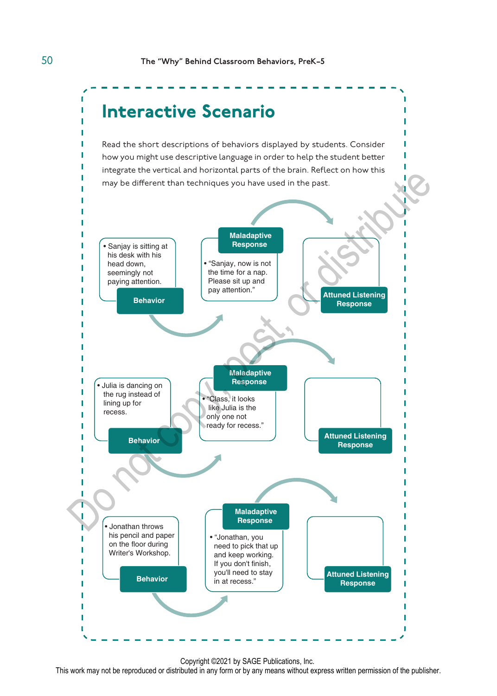

Copyright ©2021 by SAGE Publications, Inc.